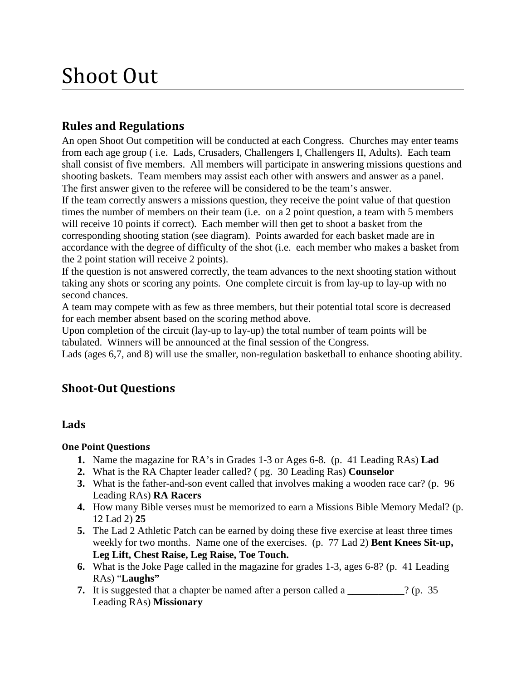# Shoot Out

# **Rules and Regulations**

An open Shoot Out competition will be conducted at each Congress. Churches may enter teams from each age group ( i.e. Lads, Crusaders, Challengers I, Challengers II, Adults). Each team shall consist of five members. All members will participate in answering missions questions and shooting baskets. Team members may assist each other with answers and answer as a panel. The first answer given to the referee will be considered to be the team's answer.

If the team correctly answers a missions question, they receive the point value of that question times the number of members on their team (i.e. on a 2 point question, a team with 5 members will receive 10 points if correct). Each member will then get to shoot a basket from the corresponding shooting station (see diagram). Points awarded for each basket made are in accordance with the degree of difficulty of the shot (i.e. each member who makes a basket from the 2 point station will receive 2 points).

If the question is not answered correctly, the team advances to the next shooting station without taking any shots or scoring any points. One complete circuit is from lay-up to lay-up with no second chances.

A team may compete with as few as three members, but their potential total score is decreased for each member absent based on the scoring method above.

Upon completion of the circuit (lay-up to lay-up) the total number of team points will be tabulated. Winners will be announced at the final session of the Congress.

Lads (ages 6,7, and 8) will use the smaller, non-regulation basketball to enhance shooting ability.

# **Shoot-Out Questions**

## **Lads**

#### **One Point Questions**

- **1.** Name the magazine for RA's in Grades 1-3 or Ages 6-8. (p. 41 Leading RAs) **Lad**
- **2.** What is the RA Chapter leader called? ( pg. 30 Leading Ras) **Counselor**
- **3.** What is the father-and-son event called that involves making a wooden race car? (p. 96 Leading RAs) **RA Racers**
- **4.** How many Bible verses must be memorized to earn a Missions Bible Memory Medal? (p. 12 Lad 2) **25**
- **5.** The Lad 2 Athletic Patch can be earned by doing these five exercise at least three times weekly for two months. Name one of the exercises. (p. 77 Lad 2) **Bent Knees Sit-up, Leg Lift, Chest Raise, Leg Raise, Toe Touch.**
- **6.** What is the Joke Page called in the magazine for grades 1-3, ages 6-8? (p. 41 Leading RAs) "**Laughs"**
- **7.** It is suggested that a chapter be named after a person called a \_\_\_\_\_\_\_\_\_\_\_? (p. 35 Leading RAs) **Missionary**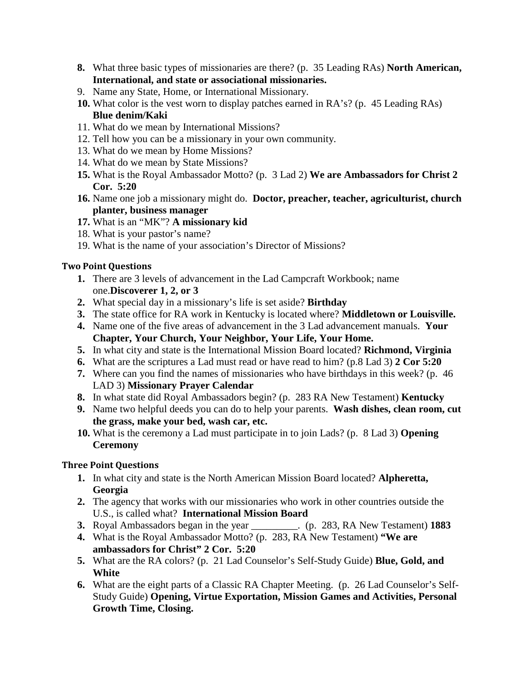- **8.** What three basic types of missionaries are there? (p. 35 Leading RAs) **North American, International, and state or associational missionaries.**
- 9. Name any State, Home, or International Missionary.
- **10.** What color is the vest worn to display patches earned in RA's? (p. 45 Leading RAs) **Blue denim/Kaki**
- 11. What do we mean by International Missions?
- 12. Tell how you can be a missionary in your own community.
- 13. What do we mean by Home Missions?
- 14. What do we mean by State Missions?
- **15.** What is the Royal Ambassador Motto? (p. 3 Lad 2) **We are Ambassadors for Christ 2 Cor. 5:20**
- **16.** Name one job a missionary might do. **Doctor, preacher, teacher, agriculturist, church planter, business manager**
- **17.** What is an "MK"? **A missionary kid**
- 18. What is your pastor's name?
- 19. What is the name of your association's Director of Missions?

# **Two Point Questions**

- **1.** There are 3 levels of advancement in the Lad Campcraft Workbook; name one.**Discoverer 1, 2, or 3**
- **2.** What special day in a missionary's life is set aside? **Birthday**
- **3.** The state office for RA work in Kentucky is located where? **Middletown or Louisville.**
- **4.** Name one of the five areas of advancement in the 3 Lad advancement manuals. **Your Chapter, Your Church, Your Neighbor, Your Life, Your Home.**
- **5.** In what city and state is the International Mission Board located? **Richmond, Virginia**
- **6.** What are the scriptures a Lad must read or have read to him? (p.8 Lad 3) **2 Cor 5:20**
- **7.** Where can you find the names of missionaries who have birthdays in this week? (p. 46 LAD 3) **Missionary Prayer Calendar**
- **8.** In what state did Royal Ambassadors begin? (p. 283 RA New Testament) **Kentucky**
- **9.** Name two helpful deeds you can do to help your parents. **Wash dishes, clean room, cut the grass, make your bed, wash car, etc.**
- **10.** What is the ceremony a Lad must participate in to join Lads? (p. 8 Lad 3) **Opening Ceremony**

- **1.** In what city and state is the North American Mission Board located? **Alpheretta, Georgia**
- **2.** The agency that works with our missionaries who work in other countries outside the U.S., is called what? **International Mission Board**
- **3.** Royal Ambassadors began in the year \_\_\_\_\_\_\_\_\_. (p. 283, RA New Testament) **1883**
- **4.** What is the Royal Ambassador Motto? (p. 283, RA New Testament) **"We are ambassadors for Christ" 2 Cor. 5:20**
- **5.** What are the RA colors? (p. 21 Lad Counselor's Self-Study Guide) **Blue, Gold, and White**
- **6.** What are the eight parts of a Classic RA Chapter Meeting. (p. 26 Lad Counselor's Self-Study Guide) **Opening, Virtue Exportation, Mission Games and Activities, Personal Growth Time, Closing.**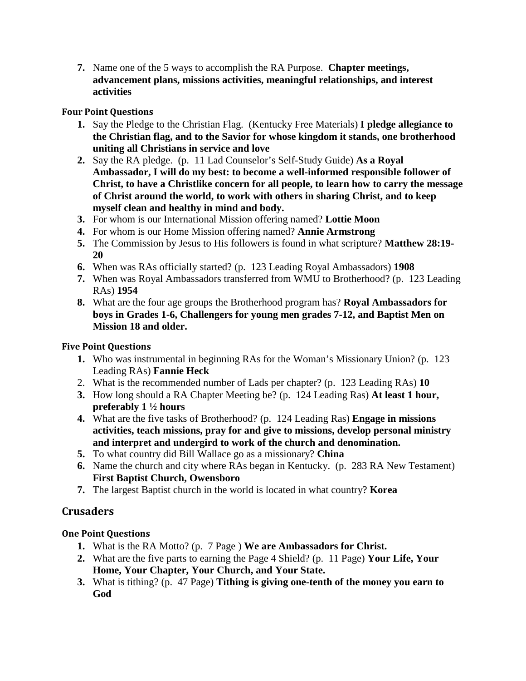**7.** Name one of the 5 ways to accomplish the RA Purpose. **Chapter meetings, advancement plans, missions activities, meaningful relationships, and interest activities**

# **Four Point Questions**

- **1.** Say the Pledge to the Christian Flag. (Kentucky Free Materials) **I pledge allegiance to the Christian flag, and to the Savior for whose kingdom it stands, one brotherhood uniting all Christians in service and love**
- **2.** Say the RA pledge. (p. 11 Lad Counselor's Self-Study Guide) **As a Royal Ambassador, I will do my best: to become a well-informed responsible follower of Christ, to have a Christlike concern for all people, to learn how to carry the message of Christ around the world, to work with others in sharing Christ, and to keep myself clean and healthy in mind and body.**
- **3.** For whom is our International Mission offering named? **Lottie Moon**
- **4.** For whom is our Home Mission offering named? **Annie Armstrong**
- **5.** The Commission by Jesus to His followers is found in what scripture? **Matthew 28:19- 20**
- **6.** When was RAs officially started? (p. 123 Leading Royal Ambassadors) **1908**
- **7.** When was Royal Ambassadors transferred from WMU to Brotherhood? (p. 123 Leading RAs) **1954**
- **8.** What are the four age groups the Brotherhood program has? **Royal Ambassadors for boys in Grades 1-6, Challengers for young men grades 7-12, and Baptist Men on Mission 18 and older.**

# **Five Point Questions**

- **1.** Who was instrumental in beginning RAs for the Woman's Missionary Union? (p. 123 Leading RAs) **Fannie Heck**
- 2. What is the recommended number of Lads per chapter? (p. 123 Leading RAs) **10**
- **3.** How long should a RA Chapter Meeting be? (p. 124 Leading Ras) **At least 1 hour, preferably 1 ½ hours**
- **4.** What are the five tasks of Brotherhood? (p. 124 Leading Ras) **Engage in missions activities, teach missions, pray for and give to missions, develop personal ministry and interpret and undergird to work of the church and denomination.**
- **5.** To what country did Bill Wallace go as a missionary? **China**
- **6.** Name the church and city where RAs began in Kentucky. (p. 283 RA New Testament) **First Baptist Church, Owensboro**
- **7.** The largest Baptist church in the world is located in what country? **Korea**

# **Crusaders**

# **One Point Questions**

- **1.** What is the RA Motto? (p. 7 Page ) **We are Ambassadors for Christ.**
- **2.** What are the five parts to earning the Page 4 Shield? (p. 11 Page) **Your Life, Your Home, Your Chapter, Your Church, and Your State.**
- **3.** What is tithing? (p. 47 Page) **Tithing is giving one-tenth of the money you earn to God**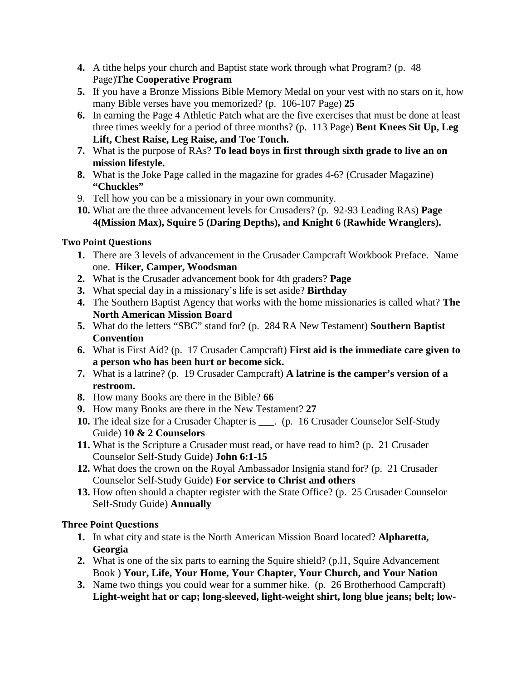- **4.** A tithe helps your church and Baptist state work through what Program? (p. 48 Page)**The Cooperative Program**
- **5.** If you have a Bronze Missions Bible Memory Medal on your vest with no stars on it, how many Bible verses have you memorized? (p. 106-107 Page) **25**
- **6.** In earning the Page 4 Athletic Patch what are the five exercises that must be done at least three times weekly for a period of three months? (p. 113 Page) **Bent Knees Sit Up, Leg Lift, Chest Raise, Leg Raise, and Toe Touch.**
- **7.** What is the purpose of RAs? **To lead boys in first through sixth grade to live an on mission lifestyle.**
- **8.** What is the Joke Page called in the magazine for grades 4-6? (Crusader Magazine) **"Chuckles"**
- 9. Tell how you can be a missionary in your own community.
- **10.** What are the three advancement levels for Crusaders? (p. 92-93 Leading RAs) **Page 4(Mission Max), Squire 5 (Daring Depths), and Knight 6 (Rawhide Wranglers).**

# **Two Point Questions**

- **1.** There are 3 levels of advancement in the Crusader Campcraft Workbook Preface. Name one. **Hiker, Camper, Woodsman**
- **2.** What is the Crusader advancement book for 4th graders? **Page**
- **3.** What special day in a missionary's life is set aside? **Birthday**
- **4.** The Southern Baptist Agency that works with the home missionaries is called what? **The North American Mission Board**
- **5.** What do the letters "SBC" stand for? (p. 284 RA New Testament) **Southern Baptist Convention**
- **6.** What is First Aid? (p. 17 Crusader Campcraft) **First aid is the immediate care given to a person who has been hurt or become sick.**
- **7.** What is a latrine? (p. 19 Crusader Campcraft) **A latrine is the camper's version of a restroom.**
- **8.** How many Books are there in the Bible? **66**
- **9.** How many Books are there in the New Testament? **27**
- **10.** The ideal size for a Crusader Chapter is \_\_\_. (p. 16 Crusader Counselor Self-Study Guide) **10 & 2 Counselors**
- **11.** What is the Scripture a Crusader must read, or have read to him? (p. 21 Crusader Counselor Self-Study Guide) **John 6:1-15**
- **12.** What does the crown on the Royal Ambassador Insignia stand for? (p. 21 Crusader Counselor Self-Study Guide) **For service to Christ and others**
- **13.** How often should a chapter register with the State Office? (p. 25 Crusader Counselor Self-Study Guide) **Annually**

- **1.** In what city and state is the North American Mission Board located? **Alpharetta, Georgia**
- **2.** What is one of the six parts to earning the Squire shield? (p.l1, Squire Advancement Book ) **Your, Life, Your Home, Your Chapter, Your Church, and Your Nation**
- **3.** Name two things you could wear for a summer hike. (p. 26 Brotherhood Campcraft) **Light-weight hat or cap; long-sleeved, light-weight shirt, long blue jeans; belt; low-**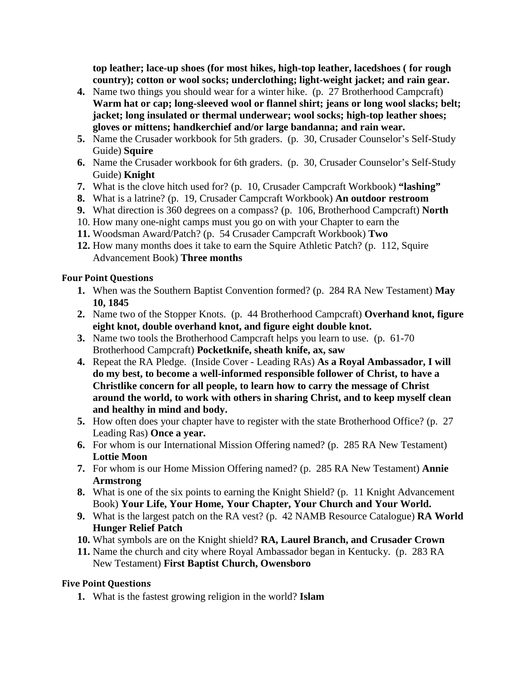**top leather; lace-up shoes (for most hikes, high-top leather, lacedshoes ( for rough country); cotton or wool socks; underclothing; light-weight jacket; and rain gear.**

- **4.** Name two things you should wear for a winter hike. (p. 27 Brotherhood Campcraft) **Warm hat or cap; long-sleeved wool or flannel shirt; jeans or long wool slacks; belt; jacket; long insulated or thermal underwear; wool socks; high-top leather shoes; gloves or mittens; handkerchief and/or large bandanna; and rain wear.**
- **5.** Name the Crusader workbook for 5th graders. (p. 30, Crusader Counselor's Self-Study Guide) **Squire**
- **6.** Name the Crusader workbook for 6th graders. (p. 30, Crusader Counselor's Self-Study Guide) **Knight**
- **7.** What is the clove hitch used for? (p. 10, Crusader Campcraft Workbook) **"lashing"**
- **8.** What is a latrine? (p. 19, Crusader Campcraft Workbook) **An outdoor restroom**
- **9.** What direction is 360 degrees on a compass? (p. 106, Brotherhood Campcraft) **North**
- 10. How many one-night camps must you go on with your Chapter to earn the
- **11.** Woodsman Award/Patch? (p. 54 Crusader Campcraft Workbook) **Two**
- **12.** How many months does it take to earn the Squire Athletic Patch? (p. 112, Squire Advancement Book) **Three months**

#### **Four Point Questions**

- **1.** When was the Southern Baptist Convention formed? (p. 284 RA New Testament) **May 10, 1845**
- **2.** Name two of the Stopper Knots. (p. 44 Brotherhood Campcraft) **Overhand knot, figure eight knot, double overhand knot, and figure eight double knot.**
- **3.** Name two tools the Brotherhood Campcraft helps you learn to use. (p. 61-70 Brotherhood Campcraft) **Pocketknife, sheath knife, ax, saw**
- **4.** Repeat the RA Pledge. (Inside Cover Leading RAs) **As a Royal Ambassador, I will do my best, to become a well-informed responsible follower of Christ, to have a Christlike concern for all people, to learn how to carry the message of Christ around the world, to work with others in sharing Christ, and to keep myself clean and healthy in mind and body.**
- **5.** How often does your chapter have to register with the state Brotherhood Office? (p. 27 Leading Ras) **Once a year.**
- **6.** For whom is our International Mission Offering named? (p. 285 RA New Testament) **Lottie Moon**
- **7.** For whom is our Home Mission Offering named? (p. 285 RA New Testament) **Annie Armstrong**
- **8.** What is one of the six points to earning the Knight Shield? (p. 11 Knight Advancement Book) **Your Life, Your Home, Your Chapter, Your Church and Your World.**
- **9.** What is the largest patch on the RA vest? (p. 42 NAMB Resource Catalogue) **RA World Hunger Relief Patch**
- **10.** What symbols are on the Knight shield? **RA, Laurel Branch, and Crusader Crown**
- **11.** Name the church and city where Royal Ambassador began in Kentucky. (p. 283 RA New Testament) **First Baptist Church, Owensboro**

#### **Five Point Questions**

**1.** What is the fastest growing religion in the world? **Islam**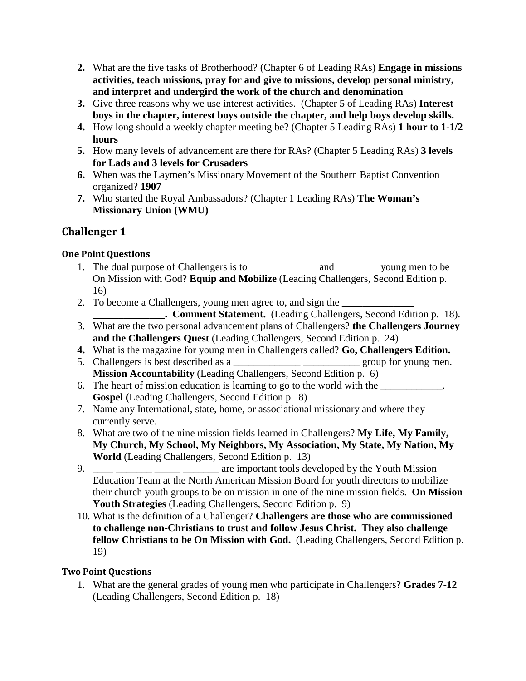- **2.** What are the five tasks of Brotherhood? (Chapter 6 of Leading RAs) **Engage in missions activities, teach missions, pray for and give to missions, develop personal ministry, and interpret and undergird the work of the church and denomination**
- **3.** Give three reasons why we use interest activities. (Chapter 5 of Leading RAs) **Interest boys in the chapter, interest boys outside the chapter, and help boys develop skills.**
- **4.** How long should a weekly chapter meeting be? (Chapter 5 Leading RAs) **1 hour to 1-1/2 hours**
- **5.** How many levels of advancement are there for RAs? (Chapter 5 Leading RAs) **3 levels for Lads and 3 levels for Crusaders**
- **6.** When was the Laymen's Missionary Movement of the Southern Baptist Convention organized? **1907**
- **7.** Who started the Royal Ambassadors? (Chapter 1 Leading RAs) **The Woman's Missionary Union (WMU)**

# **Challenger 1**

# **One Point Questions**

- 1. The dual purpose of Challengers is to \_\_\_\_\_\_\_\_\_\_\_\_\_ and \_\_\_\_\_\_\_\_ young men to be On Mission with God? **Equip and Mobilize** (Leading Challengers, Second Edition p. 16)
- 2. To become a Challengers, young men agree to, and sign the **\_\_\_\_\_\_\_\_\_\_\_\_\_\_** 
	- **\_\_\_\_\_\_\_\_\_\_\_\_\_\_. Comment Statement.** (Leading Challengers, Second Edition p. 18).
- 3. What are the two personal advancement plans of Challengers? **the Challengers Journey and the Challengers Quest** (Leading Challengers, Second Edition p. 24)
- **4.** What is the magazine for young men in Challengers called? **Go, Challengers Edition.**
- 5. Challengers is best described as a \_\_\_\_\_\_\_\_\_\_\_\_\_ \_\_\_\_\_\_\_\_\_\_\_ group for young men. **Mission Accountability** (Leading Challengers, Second Edition p. 6)
- 6. The heart of mission education is learning to go to the world with the **Gospel (**Leading Challengers, Second Edition p. 8)
- 7. Name any International, state, home, or associational missionary and where they currently serve.
- 8. What are two of the nine mission fields learned in Challengers? **My Life, My Family, My Church, My School, My Neighbors, My Association, My State, My Nation, My World** (Leading Challengers, Second Edition p. 13)
- 9.  $\blacksquare$  are important tools developed by the Youth Mission Education Team at the North American Mission Board for youth directors to mobilize their church youth groups to be on mission in one of the nine mission fields. **On Mission Youth Strategies** (Leading Challengers, Second Edition p. 9)
- 10. What is the definition of a Challenger? **Challengers are those who are commissioned to challenge non-Christians to trust and follow Jesus Christ. They also challenge fellow Christians to be On Mission with God.** (Leading Challengers, Second Edition p. 19)

# **Two Point Questions**

1. What are the general grades of young men who participate in Challengers? **Grades 7-12** (Leading Challengers, Second Edition p. 18)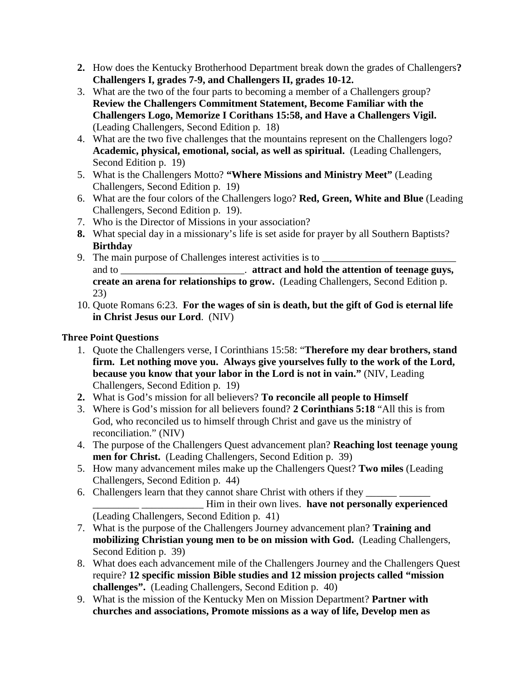- **2.** How does the Kentucky Brotherhood Department break down the grades of Challengers**? Challengers I, grades 7-9, and Challengers II, grades 10-12.**
- 3. What are the two of the four parts to becoming a member of a Challengers group? **Review the Challengers Commitment Statement, Become Familiar with the Challengers Logo, Memorize I Corithans 15:58, and Have a Challengers Vigil.**  (Leading Challengers, Second Edition p. 18)
- 4. What are the two five challenges that the mountains represent on the Challengers logo? **Academic, physical, emotional, social, as well as spiritual.** (Leading Challengers, Second Edition p. 19)
- 5. What is the Challengers Motto? **"Where Missions and Ministry Meet"** (Leading Challengers, Second Edition p. 19)
- 6. What are the four colors of the Challengers logo? **Red, Green, White and Blue** (Leading Challengers, Second Edition p. 19).
- 7. Who is the Director of Missions in your association?
- **8.** What special day in a missionary's life is set aside for prayer by all Southern Baptists? **Birthday**
- 9. The main purpose of Challenges interest activities is to and to \_\_\_\_\_\_\_\_\_\_\_\_\_\_\_\_\_\_\_\_\_\_\_\_\_. **attract and hold the attention of teenage guys, create an arena for relationships to grow.** (Leading Challengers, Second Edition p. 23)
- 10. Quote Romans 6:23. **For the wages of sin is death, but the gift of God is eternal life in Christ Jesus our Lord**. (NIV)

- 1. Quote the Challengers verse, I Corinthians 15:58: "**Therefore my dear brothers, stand firm. Let nothing move you. Always give yourselves fully to the work of the Lord, because you know that your labor in the Lord is not in vain."** (NIV, Leading Challengers, Second Edition p. 19)
- **2.** What is God's mission for all believers? **To reconcile all people to Himself**
- 3. Where is God's mission for all believers found? **2 Corinthians 5:18** "All this is from God, who reconciled us to himself through Christ and gave us the ministry of reconciliation." (NIV)
- 4. The purpose of the Challengers Quest advancement plan? **Reaching lost teenage young men for Christ.** (Leading Challengers, Second Edition p. 39)
- 5. How many advancement miles make up the Challengers Quest? **Two miles** (Leading Challengers, Second Edition p. 44)
- 6. Challengers learn that they cannot share Christ with others if they \_\_\_\_\_\_\_\_ \_\_\_\_\_\_\_\_\_ \_\_\_\_\_\_\_\_\_\_\_\_ Him in their own lives. **have not personally experienced**  (Leading Challengers, Second Edition p. 41)
- 7. What is the purpose of the Challengers Journey advancement plan? **Training and mobilizing Christian young men to be on mission with God.** (Leading Challengers, Second Edition p. 39)
- 8. What does each advancement mile of the Challengers Journey and the Challengers Quest require? **12 specific mission Bible studies and 12 mission projects called "mission challenges".** (Leading Challengers, Second Edition p. 40)
- 9. What is the mission of the Kentucky Men on Mission Department? **Partner with churches and associations, Promote missions as a way of life, Develop men as**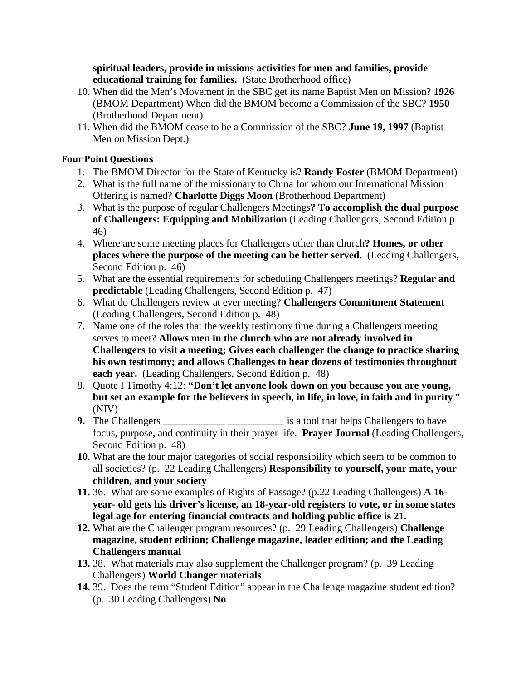**spiritual leaders, provide in missions activities for men and families, provide educational training for families.** (State Brotherhood office)

- 10. When did the Men's Movement in the SBC get its name Baptist Men on Mission? **1926** (BMOM Department) When did the BMOM become a Commission of the SBC? **1950** (Brotherhood Department)
- 11. When did the BMOM cease to be a Commission of the SBC? **June 19, 1997** (Baptist Men on Mission Dept.)

#### **Four Point Questions**

- 1. The BMOM Director for the State of Kentucky is? **Randy Foster** (BMOM Department)
- 2. What is the full name of the missionary to China for whom our International Mission Offering is named? **Charlotte Diggs Moon** (Brotherhood Department)
- 3. What is the purpose of regular Challengers Meetings**? To accomplish the dual purpose of Challengers: Equipping and Mobilization** (Leading Challengers, Second Edition p. 46)
- 4. Where are some meeting places for Challengers other than church**? Homes, or other places where the purpose of the meeting can be better served.** (Leading Challengers, Second Edition p. 46)
- 5. What are the essential requirements for scheduling Challengers meetings? **Regular and predictable** (Leading Challengers, Second Edition p. 47)
- 6. What do Challengers review at ever meeting? **Challengers Commitment Statement** (Leading Challengers, Second Edition p. 48)
- 7. Name one of the roles that the weekly testimony time during a Challengers meeting serves to meet? **Allows men in the church who are not already involved in Challengers to visit a meeting; Gives each challenger the change to practice sharing his own testimony; and allows Challenges to hear dozens of testimonies throughout each year.** (Leading Challengers, Second Edition p. 48)
- 8. Quote I Timothy 4:12: **"Don't let anyone look down on you because you are young, but set an example for the believers in speech, in life, in love, in faith and in purity**." (NIV)
- **9.** The Challengers \_\_\_\_\_\_\_\_\_\_\_\_\_\_\_\_\_\_\_\_\_\_\_\_\_\_\_\_\_ is a tool that helps Challengers to have focus, purpose, and continuity in their prayer life. **Prayer Journal** (Leading Challengers, Second Edition p. 48)
- **10.** What are the four major categories of social responsibility which seem to be common to all societies? (p. 22 Leading Challengers) **Responsibility to yourself, your mate, your children, and your society**
- **11.** 36. What are some examples of Rights of Passage? (p.22 Leading Challengers) **A 16 year- old gets his driver's license, an 18-year-old registers to vote, or in some states legal age for entering financial contracts and holding public office is 21.**
- **12.** What are the Challenger program resources? (p. 29 Leading Challengers) **Challenge magazine, student edition; Challenge magazine, leader edition; and the Leading Challengers manual**
- **13.** 38. What materials may also supplement the Challenger program? (p. 39 Leading Challengers) **World Changer materials**
- **14.** 39. Does the term "Student Edition" appear in the Challenge magazine student edition? (p. 30 Leading Challengers) **No**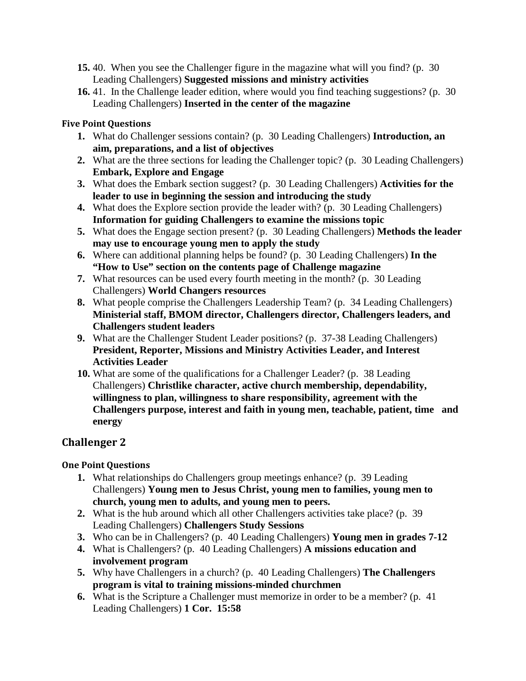- **15.** 40. When you see the Challenger figure in the magazine what will you find? (p. 30 Leading Challengers) **Suggested missions and ministry activities**
- **16.** 41. In the Challenge leader edition, where would you find teaching suggestions? (p. 30 Leading Challengers) **Inserted in the center of the magazine**

#### **Five Point Questions**

- **1.** What do Challenger sessions contain? (p. 30 Leading Challengers) **Introduction, an aim, preparations, and a list of objectives**
- **2.** What are the three sections for leading the Challenger topic? (p. 30 Leading Challengers) **Embark, Explore and Engage**
- **3.** What does the Embark section suggest? (p. 30 Leading Challengers) **Activities for the leader to use in beginning the session and introducing the study**
- **4.** What does the Explore section provide the leader with? (p. 30 Leading Challengers) **Information for guiding Challengers to examine the missions topic**
- **5.** What does the Engage section present? (p. 30 Leading Challengers) **Methods the leader may use to encourage young men to apply the study**
- **6.** Where can additional planning helps be found? (p. 30 Leading Challengers) **In the "How to Use" section on the contents page of Challenge magazine**
- **7.** What resources can be used every fourth meeting in the month? (p. 30 Leading Challengers) **World Changers resources**
- **8.** What people comprise the Challengers Leadership Team? (p. 34 Leading Challengers) **Ministerial staff, BMOM director, Challengers director, Challengers leaders, and Challengers student leaders**
- **9.** What are the Challenger Student Leader positions? (p. 37-38 Leading Challengers) **President, Reporter, Missions and Ministry Activities Leader, and Interest Activities Leader**
- **10.** What are some of the qualifications for a Challenger Leader? (p. 38 Leading Challengers) **Christlike character, active church membership, dependability, willingness to plan, willingness to share responsibility, agreement with the Challengers purpose, interest and faith in young men, teachable, patient, time and energy**

# **Challenger 2**

## **One Point Questions**

- **1.** What relationships do Challengers group meetings enhance? (p. 39 Leading Challengers) **Young men to Jesus Christ, young men to families, young men to church, young men to adults, and young men to peers.**
- **2.** What is the hub around which all other Challengers activities take place? (p. 39 Leading Challengers) **Challengers Study Sessions**
- **3.** Who can be in Challengers? (p. 40 Leading Challengers) **Young men in grades 7-12**
- **4.** What is Challengers? (p. 40 Leading Challengers) **A missions education and involvement program**
- **5.** Why have Challengers in a church? (p. 40 Leading Challengers) **The Challengers program is vital to training missions-minded churchmen**
- **6.** What is the Scripture a Challenger must memorize in order to be a member? (p. 41 Leading Challengers) **1 Cor. 15:58**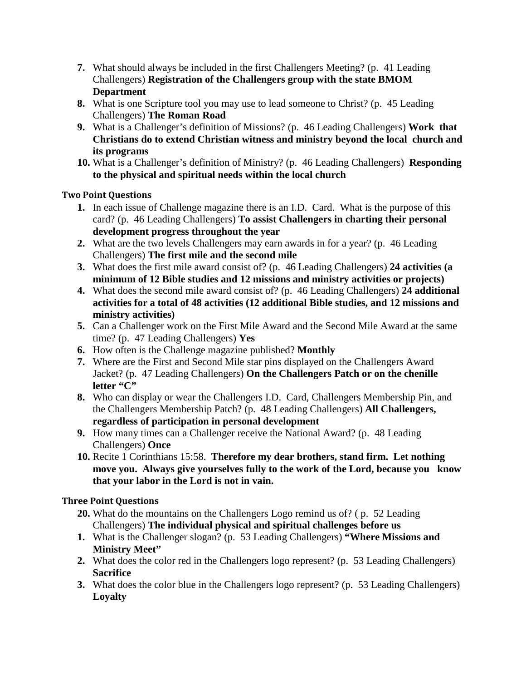- **7.** What should always be included in the first Challengers Meeting? (p. 41 Leading Challengers) **Registration of the Challengers group with the state BMOM Department**
- **8.** What is one Scripture tool you may use to lead someone to Christ? (p. 45 Leading Challengers) **The Roman Road**
- **9.** What is a Challenger's definition of Missions? (p. 46 Leading Challengers) **Work that Christians do to extend Christian witness and ministry beyond the local church and its programs**
- **10.** What is a Challenger's definition of Ministry? (p. 46 Leading Challengers) **Responding to the physical and spiritual needs within the local church**

## **Two Point Questions**

- **1.** In each issue of Challenge magazine there is an I.D. Card. What is the purpose of this card? (p. 46 Leading Challengers) **To assist Challengers in charting their personal development progress throughout the year**
- **2.** What are the two levels Challengers may earn awards in for a year? (p. 46 Leading Challengers) **The first mile and the second mile**
- **3.** What does the first mile award consist of? (p. 46 Leading Challengers) **24 activities (a minimum of 12 Bible studies and 12 missions and ministry activities or projects)**
- **4.** What does the second mile award consist of? (p. 46 Leading Challengers) **24 additional activities for a total of 48 activities (12 additional Bible studies, and 12 missions and ministry activities)**
- **5.** Can a Challenger work on the First Mile Award and the Second Mile Award at the same time? (p. 47 Leading Challengers) **Yes**
- **6.** How often is the Challenge magazine published? **Monthly**
- **7.** Where are the First and Second Mile star pins displayed on the Challengers Award Jacket? (p. 47 Leading Challengers) **On the Challengers Patch or on the chenille letter "C"**
- **8.** Who can display or wear the Challengers I.D. Card, Challengers Membership Pin, and the Challengers Membership Patch? (p. 48 Leading Challengers) **All Challengers, regardless of participation in personal development**
- **9.** How many times can a Challenger receive the National Award? (p. 48 Leading Challengers) **Once**
- **10.** Recite 1 Corinthians 15:58. **Therefore my dear brothers, stand firm. Let nothing move you. Always give yourselves fully to the work of the Lord, because you know that your labor in the Lord is not in vain.**

- **20.** What do the mountains on the Challengers Logo remind us of? ( p. 52 Leading Challengers) **The individual physical and spiritual challenges before us**
- **1.** What is the Challenger slogan? (p. 53 Leading Challengers) **"Where Missions and Ministry Meet"**
- **2.** What does the color red in the Challengers logo represent? (p. 53 Leading Challengers) **Sacrifice**
- **3.** What does the color blue in the Challengers logo represent? (p. 53 Leading Challengers) **Loyalty**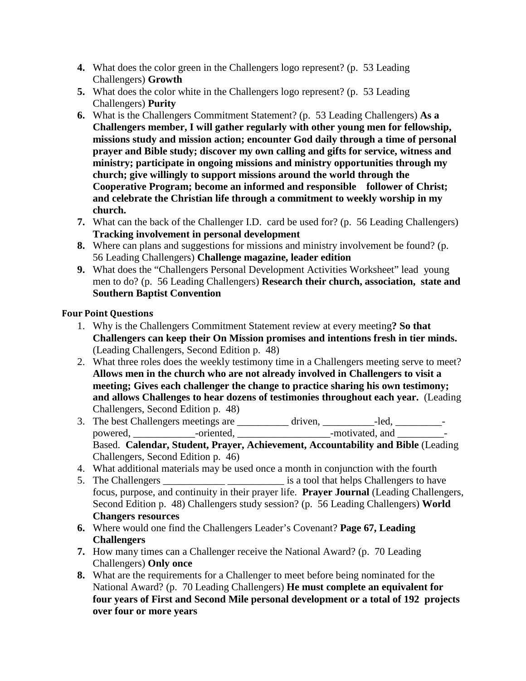- **4.** What does the color green in the Challengers logo represent? (p. 53 Leading Challengers) **Growth**
- **5.** What does the color white in the Challengers logo represent? (p. 53 Leading Challengers) **Purity**
- **6.** What is the Challengers Commitment Statement? (p. 53 Leading Challengers) **As a Challengers member, I will gather regularly with other young men for fellowship, missions study and mission action; encounter God daily through a time of personal prayer and Bible study; discover my own calling and gifts for service, witness and ministry; participate in ongoing missions and ministry opportunities through my church; give willingly to support missions around the world through the Cooperative Program; become an informed and responsible follower of Christ; and celebrate the Christian life through a commitment to weekly worship in my church.**
- **7.** What can the back of the Challenger I.D. card be used for? (p. 56 Leading Challengers) **Tracking involvement in personal development**
- **8.** Where can plans and suggestions for missions and ministry involvement be found? (p. 56 Leading Challengers) **Challenge magazine, leader edition**
- **9.** What does the "Challengers Personal Development Activities Worksheet" lead young men to do? (p. 56 Leading Challengers) **Research their church, association, state and Southern Baptist Convention**

## **Four Point Questions**

- 1. Why is the Challengers Commitment Statement review at every meeting**? So that Challengers can keep their On Mission promises and intentions fresh in tier minds.**  (Leading Challengers, Second Edition p. 48)
- 2. What three roles does the weekly testimony time in a Challengers meeting serve to meet? **Allows men in the church who are not already involved in Challengers to visit a meeting; Gives each challenger the change to practice sharing his own testimony; and allows Challenges to hear dozens of testimonies throughout each year.** (Leading Challengers, Second Edition p. 48)
- 3. The best Challengers meetings are \_\_\_\_\_\_\_\_\_\_ driven, \_\_\_\_\_\_\_\_\_\_-led, \_\_\_\_\_\_\_\_\_ powered, \_\_\_\_\_\_\_\_\_\_\_\_\_\_-oriented, \_\_\_\_\_\_\_\_\_\_\_\_\_\_\_\_\_\_\_\_\_\_\_-motivated, and \_\_\_\_\_\_\_\_\_\_-Based. **Calendar, Student, Prayer, Achievement, Accountability and Bible** (Leading Challengers, Second Edition p. 46)
- 4. What additional materials may be used once a month in conjunction with the fourth
- 5. The Challengers is a tool that helps Challengers to have focus, purpose, and continuity in their prayer life. **Prayer Journal** (Leading Challengers, Second Edition p. 48) Challengers study session? (p. 56 Leading Challengers) **World Changers resources**
- **6.** Where would one find the Challengers Leader's Covenant? **Page 67, Leading Challengers**
- **7.** How many times can a Challenger receive the National Award? (p. 70 Leading Challengers) **Only once**
- **8.** What are the requirements for a Challenger to meet before being nominated for the National Award? (p. 70 Leading Challengers) **He must complete an equivalent for four years of First and Second Mile personal development or a total of 192 projects over four or more years**